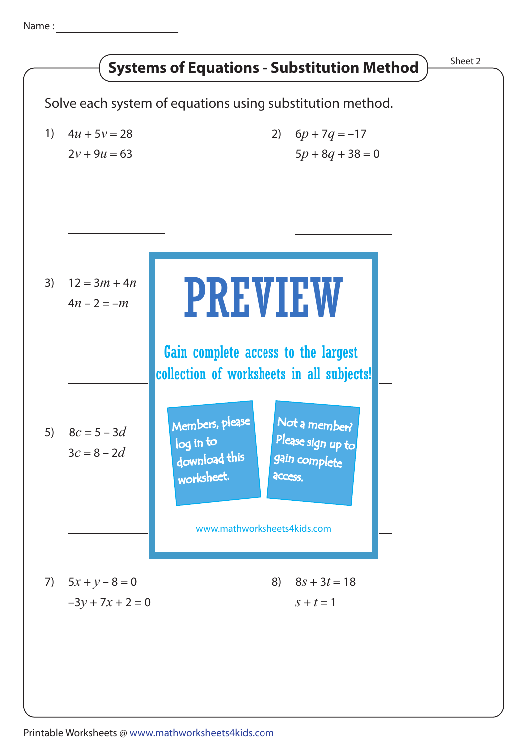Name :